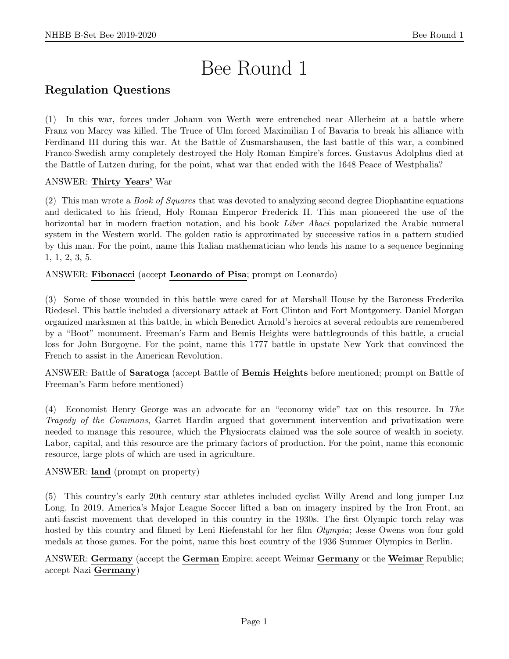# Bee Round 1

# Regulation Questions

(1) In this war, forces under Johann von Werth were entrenched near Allerheim at a battle where Franz von Marcy was killed. The Truce of Ulm forced Maximilian I of Bavaria to break his alliance with Ferdinand III during this war. At the Battle of Zusmarshausen, the last battle of this war, a combined Franco-Swedish army completely destroyed the Holy Roman Empire's forces. Gustavus Adolphus died at the Battle of Lutzen during, for the point, what war that ended with the 1648 Peace of Westphalia?

### ANSWER: Thirty Years' War

(2) This man wrote a Book of Squares that was devoted to analyzing second degree Diophantine equations and dedicated to his friend, Holy Roman Emperor Frederick II. This man pioneered the use of the horizontal bar in modern fraction notation, and his book *Liber Abaci* popularized the Arabic numeral system in the Western world. The golden ratio is approximated by successive ratios in a pattern studied by this man. For the point, name this Italian mathematician who lends his name to a sequence beginning 1, 1, 2, 3, 5.

ANSWER: Fibonacci (accept Leonardo of Pisa; prompt on Leonardo)

(3) Some of those wounded in this battle were cared for at Marshall House by the Baroness Frederika Riedesel. This battle included a diversionary attack at Fort Clinton and Fort Montgomery. Daniel Morgan organized marksmen at this battle, in which Benedict Arnold's heroics at several redoubts are remembered by a "Boot" monument. Freeman's Farm and Bemis Heights were battlegrounds of this battle, a crucial loss for John Burgoyne. For the point, name this 1777 battle in upstate New York that convinced the French to assist in the American Revolution.

ANSWER: Battle of Saratoga (accept Battle of Bemis Heights before mentioned; prompt on Battle of Freeman's Farm before mentioned)

(4) Economist Henry George was an advocate for an "economy wide" tax on this resource. In The Tragedy of the Commons, Garret Hardin argued that government intervention and privatization were needed to manage this resource, which the Physiocrats claimed was the sole source of wealth in society. Labor, capital, and this resource are the primary factors of production. For the point, name this economic resource, large plots of which are used in agriculture.

ANSWER: land (prompt on property)

(5) This country's early 20th century star athletes included cyclist Willy Arend and long jumper Luz Long. In 2019, America's Major League Soccer lifted a ban on imagery inspired by the Iron Front, an anti-fascist movement that developed in this country in the 1930s. The first Olympic torch relay was hosted by this country and filmed by Leni Riefenstahl for her film *Olympia*; Jesse Owens won four gold medals at those games. For the point, name this host country of the 1936 Summer Olympics in Berlin.

ANSWER: Germany (accept the German Empire; accept Weimar Germany or the Weimar Republic; accept Nazi Germany)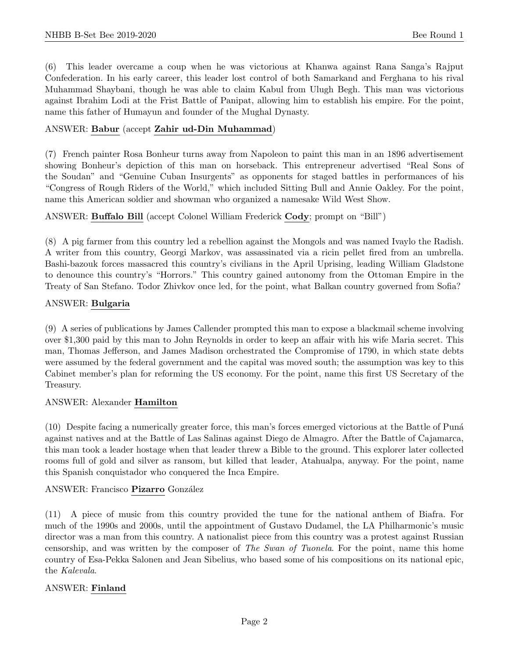(6) This leader overcame a coup when he was victorious at Khanwa against Rana Sanga's Rajput Confederation. In his early career, this leader lost control of both Samarkand and Ferghana to his rival Muhammad Shaybani, though he was able to claim Kabul from Ulugh Begh. This man was victorious against Ibrahim Lodi at the Frist Battle of Panipat, allowing him to establish his empire. For the point, name this father of Humayun and founder of the Mughal Dynasty.

#### ANSWER: Babur (accept Zahir ud-Din Muhammad)

(7) French painter Rosa Bonheur turns away from Napoleon to paint this man in an 1896 advertisement showing Bonheur's depiction of this man on horseback. This entrepreneur advertised "Real Sons of the Soudan" and "Genuine Cuban Insurgents" as opponents for staged battles in performances of his "Congress of Rough Riders of the World," which included Sitting Bull and Annie Oakley. For the point, name this American soldier and showman who organized a namesake Wild West Show.

#### ANSWER: Buffalo Bill (accept Colonel William Frederick Cody; prompt on "Bill")

(8) A pig farmer from this country led a rebellion against the Mongols and was named Ivaylo the Radish. A writer from this country, Georgi Markov, was assassinated via a ricin pellet fired from an umbrella. Bashi-bazouk forces massacred this country's civilians in the April Uprising, leading William Gladstone to denounce this country's "Horrors." This country gained autonomy from the Ottoman Empire in the Treaty of San Stefano. Todor Zhivkov once led, for the point, what Balkan country governed from Sofia?

#### ANSWER: Bulgaria

(9) A series of publications by James Callender prompted this man to expose a blackmail scheme involving over \$1,300 paid by this man to John Reynolds in order to keep an affair with his wife Maria secret. This man, Thomas Jefferson, and James Madison orchestrated the Compromise of 1790, in which state debts were assumed by the federal government and the capital was moved south; the assumption was key to this Cabinet member's plan for reforming the US economy. For the point, name this first US Secretary of the Treasury.

#### ANSWER: Alexander Hamilton

(10) Despite facing a numerically greater force, this man's forces emerged victorious at the Battle of Pun´a against natives and at the Battle of Las Salinas against Diego de Almagro. After the Battle of Cajamarca, this man took a leader hostage when that leader threw a Bible to the ground. This explorer later collected rooms full of gold and silver as ransom, but killed that leader, Atahualpa, anyway. For the point, name this Spanish conquistador who conquered the Inca Empire.

#### ANSWER: Francisco Pizarro González

(11) A piece of music from this country provided the tune for the national anthem of Biafra. For much of the 1990s and 2000s, until the appointment of Gustavo Dudamel, the LA Philharmonic's music director was a man from this country. A nationalist piece from this country was a protest against Russian censorship, and was written by the composer of The Swan of Tuonela. For the point, name this home country of Esa-Pekka Salonen and Jean Sibelius, who based some of his compositions on its national epic, the Kalevala.

#### ANSWER: Finland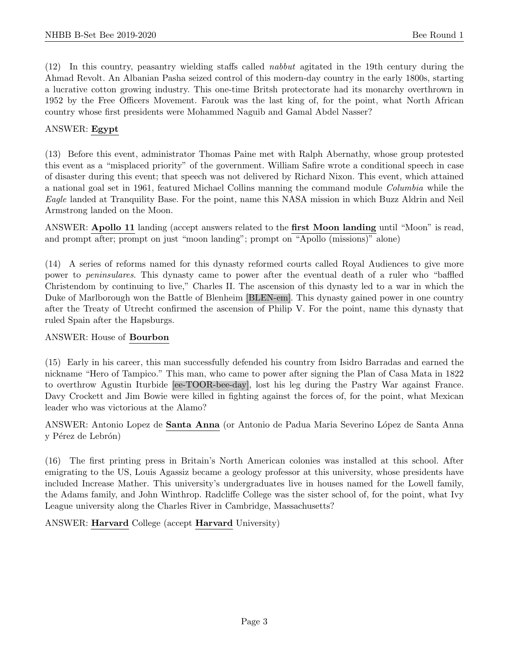(12) In this country, peasantry wielding staffs called nabbut agitated in the 19th century during the Ahmad Revolt. An Albanian Pasha seized control of this modern-day country in the early 1800s, starting a lucrative cotton growing industry. This one-time Britsh protectorate had its monarchy overthrown in 1952 by the Free Officers Movement. Farouk was the last king of, for the point, what North African country whose first presidents were Mohammed Naguib and Gamal Abdel Nasser?

#### ANSWER: Egypt

(13) Before this event, administrator Thomas Paine met with Ralph Abernathy, whose group protested this event as a "misplaced priority" of the government. William Safire wrote a conditional speech in case of disaster during this event; that speech was not delivered by Richard Nixon. This event, which attained a national goal set in 1961, featured Michael Collins manning the command module Columbia while the Eagle landed at Tranquility Base. For the point, name this NASA mission in which Buzz Aldrin and Neil Armstrong landed on the Moon.

ANSWER: Apollo 11 landing (accept answers related to the first Moon landing until "Moon" is read, and prompt after; prompt on just "moon landing"; prompt on "Apollo (missions)" alone)

(14) A series of reforms named for this dynasty reformed courts called Royal Audiences to give more power to peninsulares. This dynasty came to power after the eventual death of a ruler who "baffled Christendom by continuing to live," Charles II. The ascension of this dynasty led to a war in which the Duke of Marlborough won the Battle of Blenheim [BLEN-em]. This dynasty gained power in one country after the Treaty of Utrecht confirmed the ascension of Philip V. For the point, name this dynasty that ruled Spain after the Hapsburgs.

#### ANSWER: House of Bourbon

(15) Early in his career, this man successfully defended his country from Isidro Barradas and earned the nickname "Hero of Tampico." This man, who came to power after signing the Plan of Casa Mata in 1822 to overthrow Agustin Iturbide [ee-TOOR-bee-day], lost his leg during the Pastry War against France. Davy Crockett and Jim Bowie were killed in fighting against the forces of, for the point, what Mexican leader who was victorious at the Alamo?

ANSWER: Antonio Lopez de Santa Anna (or Antonio de Padua Maria Severino López de Santa Anna y Pérez de Lebrón)

(16) The first printing press in Britain's North American colonies was installed at this school. After emigrating to the US, Louis Agassiz became a geology professor at this university, whose presidents have included Increase Mather. This university's undergraduates live in houses named for the Lowell family, the Adams family, and John Winthrop. Radcliffe College was the sister school of, for the point, what Ivy League university along the Charles River in Cambridge, Massachusetts?

ANSWER: Harvard College (accept Harvard University)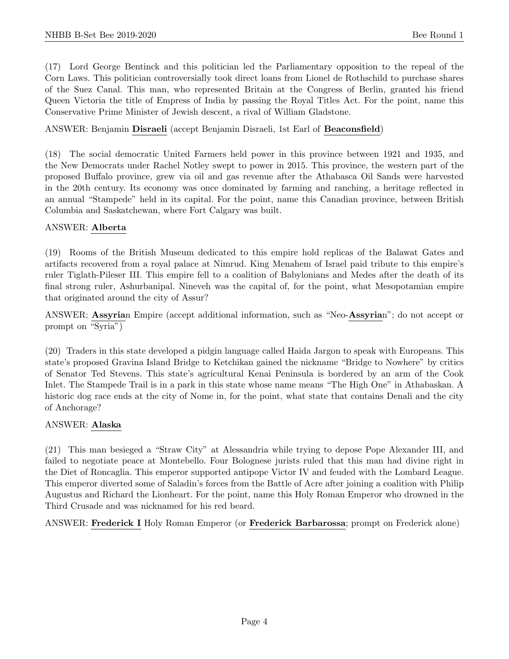(17) Lord George Bentinck and this politician led the Parliamentary opposition to the repeal of the Corn Laws. This politician controversially took direct loans from Lionel de Rothschild to purchase shares of the Suez Canal. This man, who represented Britain at the Congress of Berlin, granted his friend Queen Victoria the title of Empress of India by passing the Royal Titles Act. For the point, name this Conservative Prime Minister of Jewish descent, a rival of William Gladstone.

#### ANSWER: Benjamin Disraeli (accept Benjamin Disraeli, 1st Earl of Beaconsfield)

(18) The social democratic United Farmers held power in this province between 1921 and 1935, and the New Democrats under Rachel Notley swept to power in 2015. This province, the western part of the proposed Buffalo province, grew via oil and gas revenue after the Athabasca Oil Sands were harvested in the 20th century. Its economy was once dominated by farming and ranching, a heritage reflected in an annual "Stampede" held in its capital. For the point, name this Canadian province, between British Columbia and Saskatchewan, where Fort Calgary was built.

#### ANSWER: Alberta

(19) Rooms of the British Museum dedicated to this empire hold replicas of the Balawat Gates and artifacts recovered from a royal palace at Nimrud. King Menahem of Israel paid tribute to this empire's ruler Tiglath-Pileser III. This empire fell to a coalition of Babylonians and Medes after the death of its final strong ruler, Ashurbanipal. Nineveh was the capital of, for the point, what Mesopotamian empire that originated around the city of Assur?

ANSWER: Assyrian Empire (accept additional information, such as "Neo-Assyrian"; do not accept or prompt on "Syria")

(20) Traders in this state developed a pidgin language called Haida Jargon to speak with Europeans. This state's proposed Gravina Island Bridge to Ketchikan gained the nickname "Bridge to Nowhere" by critics of Senator Ted Stevens. This state's agricultural Kenai Peninsula is bordered by an arm of the Cook Inlet. The Stampede Trail is in a park in this state whose name means "The High One" in Athabaskan. A historic dog race ends at the city of Nome in, for the point, what state that contains Denali and the city of Anchorage?

#### ANSWER: Alaska

(21) This man besieged a "Straw City" at Alessandria while trying to depose Pope Alexander III, and failed to negotiate peace at Montebello. Four Bolognese jurists ruled that this man had divine right in the Diet of Roncaglia. This emperor supported antipope Victor IV and feuded with the Lombard League. This emperor diverted some of Saladin's forces from the Battle of Acre after joining a coalition with Philip Augustus and Richard the Lionheart. For the point, name this Holy Roman Emperor who drowned in the Third Crusade and was nicknamed for his red beard.

ANSWER: Frederick I Holy Roman Emperor (or Frederick Barbarossa; prompt on Frederick alone)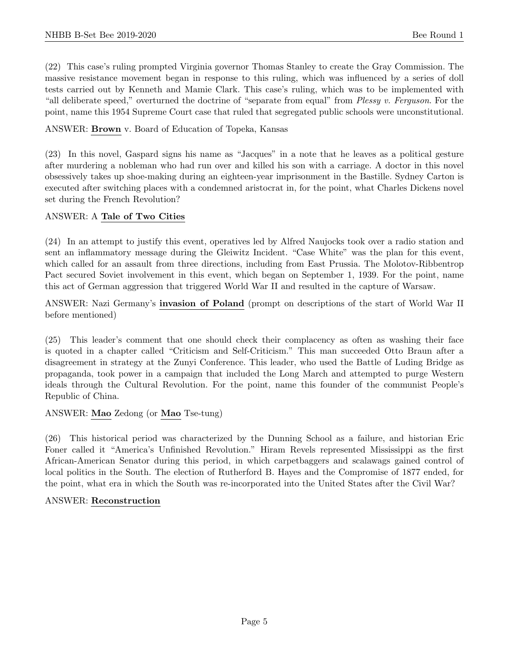(22) This case's ruling prompted Virginia governor Thomas Stanley to create the Gray Commission. The massive resistance movement began in response to this ruling, which was influenced by a series of doll tests carried out by Kenneth and Mamie Clark. This case's ruling, which was to be implemented with "all deliberate speed," overturned the doctrine of "separate from equal" from Plessy v. Ferguson. For the point, name this 1954 Supreme Court case that ruled that segregated public schools were unconstitutional.

ANSWER: Brown v. Board of Education of Topeka, Kansas

(23) In this novel, Gaspard signs his name as "Jacques" in a note that he leaves as a political gesture after murdering a nobleman who had run over and killed his son with a carriage. A doctor in this novel obsessively takes up shoe-making during an eighteen-year imprisonment in the Bastille. Sydney Carton is executed after switching places with a condemned aristocrat in, for the point, what Charles Dickens novel set during the French Revolution?

#### ANSWER: A Tale of Two Cities

(24) In an attempt to justify this event, operatives led by Alfred Naujocks took over a radio station and sent an inflammatory message during the Gleiwitz Incident. "Case White" was the plan for this event, which called for an assault from three directions, including from East Prussia. The Molotov-Ribbentrop Pact secured Soviet involvement in this event, which began on September 1, 1939. For the point, name this act of German aggression that triggered World War II and resulted in the capture of Warsaw.

ANSWER: Nazi Germany's invasion of Poland (prompt on descriptions of the start of World War II before mentioned)

(25) This leader's comment that one should check their complacency as often as washing their face is quoted in a chapter called "Criticism and Self-Criticism." This man succeeded Otto Braun after a disagreement in strategy at the Zunyi Conference. This leader, who used the Battle of Luding Bridge as propaganda, took power in a campaign that included the Long March and attempted to purge Western ideals through the Cultural Revolution. For the point, name this founder of the communist People's Republic of China.

#### ANSWER: Mao Zedong (or Mao Tse-tung)

(26) This historical period was characterized by the Dunning School as a failure, and historian Eric Foner called it "America's Unfinished Revolution." Hiram Revels represented Mississippi as the first African-American Senator during this period, in which carpetbaggers and scalawags gained control of local politics in the South. The election of Rutherford B. Hayes and the Compromise of 1877 ended, for the point, what era in which the South was re-incorporated into the United States after the Civil War?

#### ANSWER: Reconstruction